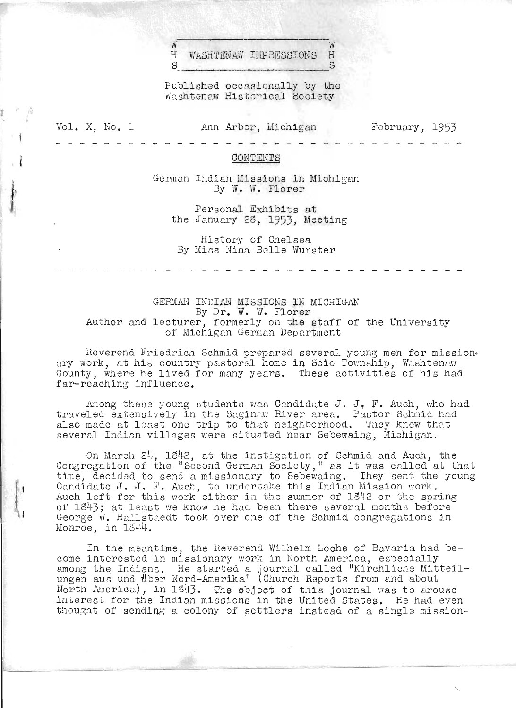$w$  W H WASHTENAW IMPRESSIONS H

Published occasionally by the Washtonaw Historical Society

Vol. X, No. 1

 $\mathbb{R}^n$ 

l

# Ann Arbor, Wichigan

Fobruary, 1953

CONTENTS

German Indian Missions in Michigan By W. W. Florer

Personal Exhibits at the January 28, 1953, Meeting

History of Chelsea By Miss Nina Belle Wurster

GERMAN INDIAN MISSIONS IN MICHIGAN By Dr. W. W. Florer Author and lecturer, formerly on the staff of the University of Michigan German Department

Reverend Friedrich Schmid prepared several young men for mission.<br>ary work, at his country pastoral home in Scio Township, Washtenaw Ally work, at his countly passoral home in Sero rownship, washtenaw far-reaching influence.

Among these young students was Candidate J. J. F. Auch, who had traveled extensively in the Saginaw River area. Pastor Schmid had also made at least one trip to that neighborhood. They knew that several Indian villages were situated near Sebewaing, Michigan.

On March 24, 1842, at the instigation of Schmid and Auch, the Congregation of the "Second German Society," as it was called at that *time,* decided to send a missi6nary to Sebewaing. They sent the young cime, declasd to send a missionary to Sebewarng. They sent the<br>Candidate J. J. F. Auch, to undertake this Indian Mission work. candiaate o. o. F. Auch, to undertake this indian mission work.<br>Auch left for this work either in the summer of 1842 or the spring of 1843; at least we know he had been there several months before George W. Hallstaedt took over one of the Schmid congregations in Monroe, in 1844.

In the meantime, the Reverend Wilhelm Loehe of Bavaria had become interested in missionary work in North America, especially among the Indians. He started a journal called "Kirchliche Mitteilungen aus und tiber Nord-Amerika" (Church Reports from and about migen and and abor note informal (enarch hopered from and about the port of this journal was to arouse interest for the Indian missions in the United States. He had even thought of sending a colony of settlers instead of a single mission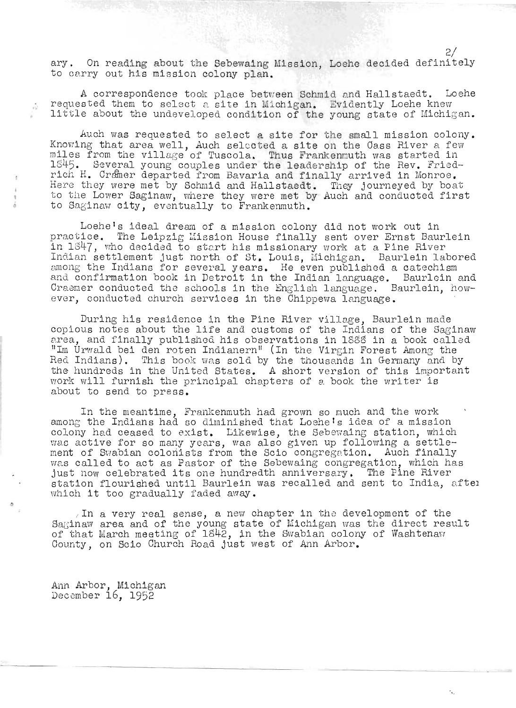ary. On reading about the Sebewaing Mission, Loehe decided definitely to carry out his mission colony plan.

A correspondence took place betreen Schmid and Hallstaedt. Loehe respondence took place between Schmid and Hallstaedt. Lock.<br>equested them to select a site in Michigan. Evidently Loehe knew requested them to select a site in Michigan. Evidently Loehe knew<br>little about the undeveloped condition of the young state of Michigan.

Auch was requested to select a site for the small mission colony. Knowing that area well, Auch selected a site on the Oass River a few mowing that area well, Auch selected a site on the Oass River a few.<br>iles from the village of Tuscola. Thus Frankenmuth was started in 1845. Several young couples under the leade rship of the Hev. Fried-845. Several young couples under the leadership of the Rev. Fried-<br>ich H. Cramer departed from Bavaria and finally arrived in Monroe. Here they were met by Schmid and Hallstaedt. 'They journeyed by boat.<br>'ere they were met by Schmid and Hallstaedt. 'They journeyed by boat. Here they were met by Schmid and Hallstaedt. They journeyed by boat to the Lower Saginaw, where they were met by Auch and conducted first to Saginaw city, eventually to Frankenmuth.

Loehe's ideal dream of a mission colony did not work out in practice. The Leipzig Mission Solony did not work out in the Leipzig Mission House finally sent over Ernst Baurlein ractice. The Leipzig Mission House finally sent over Ernst Baurle<br>n 1847, who decided to start his missionary vork at a Pine River in 1847, who decided to start his missionary work at a Pine River<br>Indian settlement just north of St. Louis, Michigan. Baurlein labored ndian settlement just north of St. Louis, Michigan. Baurlein Labore<br>mong the Indians for several years. He even published a catechism mong the Indians for several years. He even published a catechism<br>nd confirmation book in Detroit in the Indian language... Baurlein and nd confirmation book in Detroit in the Indian language. Baurlein and<br>raamer conducted the schools in the English language. Baurlein howraemer conducted the schools in the English language. - Bauriein, ho<br>ver, conducted church services in the Chippewa language

During his residence in the Pine River village, Baurlein made copious notes about the life and customs of the Indians of the Saginaw oplous notes about the life and customs of the Indians of the Saginaw<br>rea, and finally published his observations in l&SS in a book called rea, and finally published his observations in 1888 in a book called<br>Im Urwald bei den roten Indianern" (In the Virgin Forest Among the Hed Indians). This book yas sold by the thousands in Germany and by the thousands in Germany and by Red Indians). This book was sold by the thousands in Germany and by the hundreds in the United States. A short version of this important work will furnish the principal chapters of a book the writer is about to send to press.

In the meantime, Frankenmuth had grown so much and the work among the Indians had so diminished that Loehe's idea of a mission colony had ceased to exist. Likewise, the Sebewaing station, which was active for so many years, was also given up following a settleas active for so many years, was also given up following a settle-<br>ent of Swabian colonists from the Scio congregation. Auch finally ent of Swabian colonists from the Scio congregation. Auch finally<br>as called to act as Pastor of the Sebewaing congregation, which has as called to act as Pastor of the Sebewaing congregation, which ha:<br>ust now celebrated its one hundredth anniversary. The Pine River ust now celebrated its one nundredth anniversary. The Pine River<br>tation flourished until Baurlein was recalled and sent to India, aftel tation flourished until Baurlein w<br>hich it too gradually faded away.

/ In a very real sense, a new chapter in the development of the In a very real sense, a new chapter in the development of the  $\frac{1}{2}$  acingw area and of the young state of Michigan was the direct result. aginaw area and of the young state of michigan was the direct rest<br>f that March meeting of 1842, in the Swabian colony of Washtenavr f that March meeting of 1842, in the Swabian colony<br>ounty on Seio Church Boad just west of Ann Arbor.

Ann Arbor, Michigan um Arbor, witchigar<br>ecember 16, 1952

Ŵ

2/

 $\cdot$ .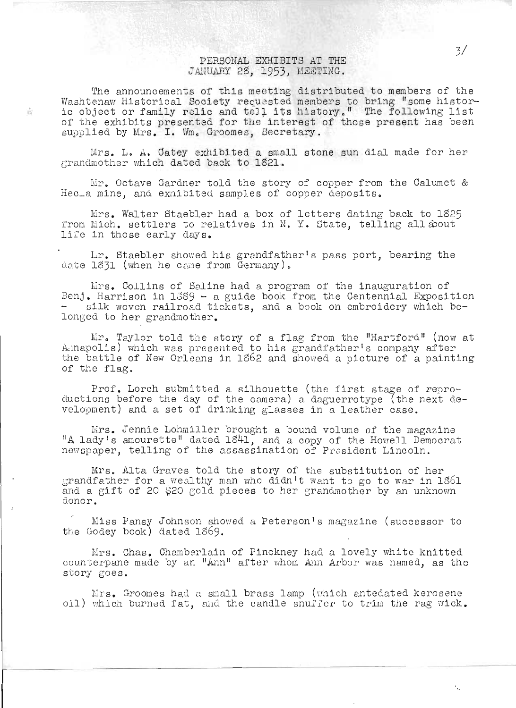## PERSONAL EXHIBITS AT THE JANUARY 28, 1953, MEETING.

The announcements of this meeting distributed to members of the Ine announcements of this medting distributed to members of the<br>Mashtenaw Historical Society requested members to bring "some historvashtenaw Historical Society requested members to bring "some histor-<br>ic object or family relic and tell its history." The following list of the exhibits presented for the interest of those present has been supplied by Mrs. I. Wm. Groomes, Secretary.

w

Mrs. L. A. Catey exhibited a small stone sun dial made for her grandmother which dated back to 1821.

Ir. Octave Gardner told the story of copper from the Calumet & Hecla mine, and exhibited samples of copper deposits.

Mrs. Walter Staebler had a box of letters dating back to 1825 from Mich. settlers to relatives in N. Y. State, telling all about life in those early days.

Lir. Staebler showed his grandfather I s pass port, bearing the date  $1831$  (when he cane from Germany).

Mins. Collins of Saline had a program of the inauguration of Benj. Harrison in  $1889 - a$  guide book from the Centennial Exposition silk woven railroad tickets, and a book on embroidery which belonged to her grandmother.

 $Mr<sub>o</sub>$  Taylor told the story of a flag from the "Hartford" (now at Amapolis) which was presented to his grandfather's company after the battle of New Orleans in 1862 and showed a picture of a painting of the flag.

Prof. Lorch submitted a silhouette (the first stage of reproductions before the day of the camera) a daguerrotype (the next development) and a set of drinking glasses in a leather case.

Mrs. Jennie Lohmiller brought a bound volume of the magazine A lady's amourette" dated 1841, and a copy of the Howell Democrat A lady's amouteved dated lo-1, and a copy of the howell beme<br>newspaper, telling of the assassination of President Lincoln.

Mrs. Alta Graves told the story of the substitution of her grandfather for a weal thy man who didn't want to go to war in 1861 and a gift of 20 \$20 gold pieces to her grandmother by an unknown donor.

Miss Pansy Johnson showed a Peterson's magazine (successor to the Godey book) dated 1869.

Mrs. Chas. Chamberlain of Pinckney had a lovely white knitted counterpane made by an "Ann" after whom Ann Arbor was named, as the story goes.

 $Nrs$ . Groomes had a small brass lamp (which antedated kerosene oil) which burned fat, and the candle snuffer to trim the rag wick.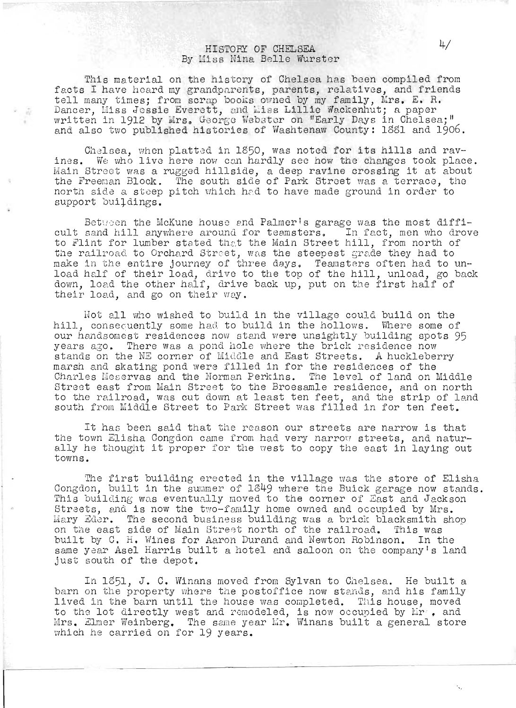# HISTORY OF CHELSEA  $4/$ By Hiss Nine. Belle Wurster

This material on the history of Chelsea has been compiled from facts I have heard my grandparents, parents, relatives, and friends acts 1 nave neard my grandparents, parents, relatives, and irien<br>ell many times: from scrap books owned by my family. Mrs. E. R. rell many times; from scrap books owned by my family, wrs. E. n.<br>Dancer, Miss Jessie Everett, and Miss Lillie Wackenhut; a paper written in 1912 by Mrs. George Webster on "Early Days in Chelsea; " and also two published histories of Washtenaw County: 1881 and 1906.

Chelsea, when platted in 1850, was noted for its hills and ravines. We who live here now can hardly see how the changes took place. Main Streot was a rugged hillside, a deep ravine crossing it at about the Freeman Block. The south side of Park Street was a terrace, the north side a steep pitch which hed to have made ground in order to support buildings.

Between the McKune house and Palmer's garage was the most difficult sand hill anywhere around for teamsters. In fact, men who drove to Flint for lumber stated that the Main Street hill, from north of the railroad to Orchard Street, was the steepest grade they had to me raitroad to orchard burset, was the steepest grade they had to<br>lake in the entire journey of three days. Teamsters often had to unlake in the entire journey of three days. Teamsters often had to un-<br>oad half of their load, drive to the top of the hill, unload, go back .oad nait of their load, drive to the top of the hill, unload, go b<br>lown, load the other half, drive back up, put on the first half of their load, and go on their way.

Hot all who wished to build in the village could build on the hill, consequently some had to build in the hollows. Where some of our handsomest residences now stand were unsightly building spots 95 years ago. There was a pond hole where the brick residence now stands on the NE corner of Middle and East Streets. A huckleberry marsh and skating pond were filled in for the residences of the Charles Meservas and the Norman Perkins. The level of land on Middle maries meservas and the Norman reixins. The level of land on middle<br>Street east from Main Street to the Broesamle residence, and on north rureet east from main street to the broesamie residence, and on north<br>to the railroad, was cut down at least ten feet, and the strip of land south from Middle Street to Park Street was filled in for ten feet.

It has been said that the reason our streets are narrow is that the town Elisha Congdon came from had very narrow streets, and naturally he thought it proper for the west to copy the east in laying out towns.

The first building erected in the village was the store of Elisha Congdon, built in the summer of 1849 where the Buick garage now stands. This building was eventually moved to the corner of East and Jackson Streets, and is now the two-family home owned and occupied by Mrs. Lusees, and is now the two-ramily home owned and occupied by mrs.<br>Lary Eder. The second business building was a brick blacksmith shop rary musr. The second pusiness pulluing was a prick placksmith s<br>In the east side of Main Street north of the railroad. This was built by C. H. Wines for Aaron Durand and Newton Hobinson. In the same year Asel Harris built a hotel and saloon on the company's land just south of the depot.

In 1851, J. C. Winans moved from Sylvan to Chelsea. He built a barn on the property where the postoffice now stands, and his family lived in the barn until the house was completed. This house, moved to the lot directly west and remodeled, is now occupied by Mr , and Mrs. Elmer Weinberg. The same year Mr. Winans built a general store which he carried on for  $19$  years.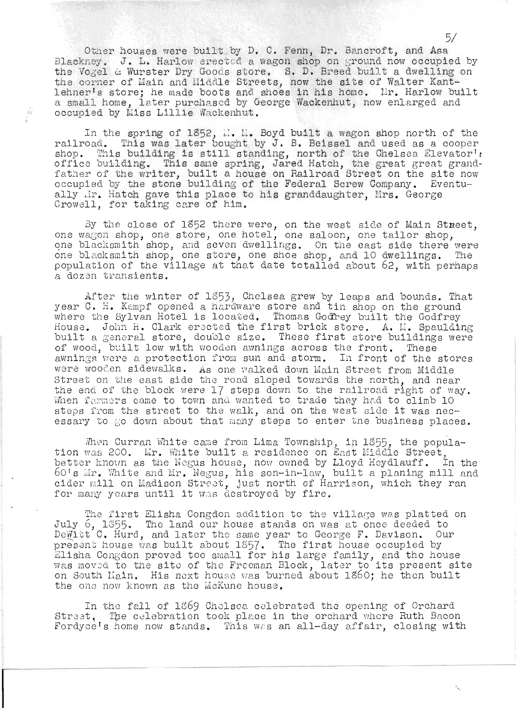Other houses were built by D. C. Fenn, Dr. Bancroft, and Asa Blackney. J. L. Harlow erected a wagon shop on ground now occupied by the Vogel & Wurster Dry Goods store. S. D. Breed built a dwelling on the voget a warster bry doods store. D. D. Breed built a dweiting lehner's store; he made boots and shoes in his home. Mr. Harlow built a small home, later purchased by George Wackenhut, now enlarged and occupied by Miss Lillie Nackenhut.

 $\Gamma_{\rm in}^{\rm (s)}$ 

In the spring of 1852, ... L. Boyd built a wagon shop north of the railroad. This was later bought by J. B. Beissel and used as a cooper shop. This building is still standing, north of the Chelsea Elevator': office building. This same spring, Jared Hatch, the great great grandfather of the writer, built a house on Railroad Street on the site now ation of the willow, building of the Federal Screw Company. Eventually dr. Hatch gave this place to his granddaughter, Mrs. George Crowell, for taking care of him.

By the close of 1852 there were, on the west side of Main Street, one wagon shop, one store, one hotel, one saloon, one tailor shop, one wagon shop, one store, one hotel, one saroon, one tarror shop,<br>ine blacksmith shop, and seven dwellings. On the east side there were one blacksmith shop, and soven dweitings. On the east side their were<br>one blacksmith shop, one store, one shoe shop, and 10 dwellings. The population of the village at that date totalled about  $62$ , with perhaps a dozen transients.

After the winter of 1353, Chelsea grew by leaps and bounds. That Arter the winter of 1899, oncised grew by feaps and bounds. That<br>year C. H. Kempf opened a hardware store and tin shop on the ground year o. II. Rempt opened a hardware store and tin shop on the ground<br>where the Sylvan Hotel is located. Thomas Godfrey built the Godfrey where the sylvan hotel is located. Thomas Godrey built the Godfrey<br>House. John H. Clark erected the first brick store. A. M. Spaulding built a general store, double size. These first store buildings were of wood, built low with wooden awnings across the front. These awnings were a protection from sun and storm. In front of the stores were wooden sidewalks. As one walked down Main Street from Middle Street on the east side the road sloped towards the north, and near the end of the block were 17 steps down to the railroad right of way. When farmers came to town and wanted to trade they had to climb 10 steps from the street to the walk, and on the west side it was necessary to go down about that many steps to enter the business places.

Then Curran White came from Lima Township, in 1855, the population when carran white came from Eima fownship, in 1899, the population was 200. Lir. White built a residence on East Middle Street, better known as the Wegus house, now owned by Lloyd Heydlauff. In the ecter movim as the wegus house, how owned by Eroyd heydrauli. In the<br>50's Mr. White and Mr. Negus, his son-in-law, built a planing mill and come and mill on Madison Street, just north of Harrison, which they ran sider mill on madison Street, just north of Ham<br>for many years until it was destroyed by fire.

The first Elisha Congdon addition to the village was platted on July 6, 1855. The land our house stands on was at once deeded to DeWitt C. Hurd, and later the same year to George F. Davison. Our pemitt o. hurd, and later the same year to decree r. bavison. Of<br>present house was built about 1857. The first house occupied by present house was built about 1857. The first house occupied by<br>Elisha Congdon proved too small for his large family, and the house alisha congdon proved too small for his large family, and the house<br>was moved to the site of the Freeman Block, later to its present site on South Liain. His next house was burned about 1860; he then built the one now known as the McKune house.

In the fall of 1369 Cholsea celebrated the opening of Orchard Street. The celebration took place in the orchard where Ruth Bacon Fordyce's home now stands. This was an all-day affair, closing with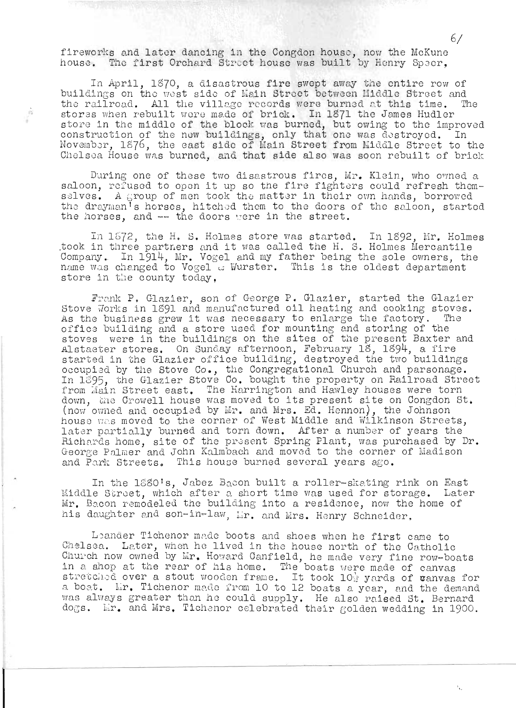fireworks and later dancing in the Congdon house, now the McKune house. The first Orchard Street house was built by Henry Speer.

 $\Gamma_{\rm D}$ 

In April, 1870, a disastrous fire swept away the entire row of buildings on the west side of Main Street between Middle Street and the railroad. All the village records were burned at this time. The stores when rebuilt were made of brick. In 1871 the James Hudler stores when ideative was burned, but owing to the improved<br>construction of the new buildings, only that one was destroyed. In November, 1876, the east side of Main Street from Middle Street to the Chelsea House was burned, and that side also was soon rebuilt of brick

During one of these two disastrous fires, Mr. Klein, who owned a saloon, refused to open it up so the fire fighters could refresh themselves. A group of men took the matter in their own hands, borrowed the drayman<sup>i</sup>s horses, hitched them to the doors of the saloon, started the horses, and -- the doors were in the street.

In 1572, the H. S. Holmes store was started. In 1892, Mr. Holmes took in three partners and it was called the H. S. Holmes Mercantile Company. In 1914, Mr. Vogel and my father being the sole owners, the name was changed to Vogel a Wurster. This is the oldest department store in the county today.

Frank P. Glazier, son of George P. Glazier, started the Glazier Stove Works in 1891 and manufactured oil heating and cooking stoves. As the business grew it was necessary to enlarge the factory. office building and a store used for mounting and storing of the stoves were in the buildings on the sites of the present Baxter and Alstaeter stores. On Sunday afternoon, February 18, 1894, a fire started in the Glazier office building, destroyed the two buildings occupied by the Stove Co., the Congregational Church and parsonage.<br>In 1895, the Glazier Stove Co. bought the property on Railroad Street from Main Street east. The Harrington and Hawley houses were torn down, the Crowell house was moved to its present site on Congdon St. (now owned and occupied by Mr. and Mrs. Ed. Hennon), the Johnson house was moved to the corner of West Middle and Wilkinson Streets, later partially burned and torn down. After a number of years the Richards home, site of the present Spring Plant, was purchased by Dr. George Palmer and John Kalmbach and moved to the corner of Madison and Park Streets. This house burned several years ago.

In the 1880's, Jabez Bacon built a roller-skating rink on East Middle Street, which after a short time was used for storage. Later Mr. Bacon remodeled the building into a residence, now the home of his daughter and son-in-law, Mr. and Mrs. Henry Schneider.

Leander Tichenor made boots and shoes when he first came to Chelsea. Later, when he lived in the house north of the Catholic Church now owned by Mr. Howard Canfield, he made very fine row-boats<br>in a shop at the rear of his home. The boats were made of canvas<br>stretched over a stout wooden frame. It took 10<sup>3</sup> yards of vanvas for a boat. Mr. Tichenor made from 10 to 12 boats a year, and the demand was always greater than he could supply. He also raised St. Bernard dogs. Er. and Mrs. Tichenor celebrated their golden wedding in 1900.

67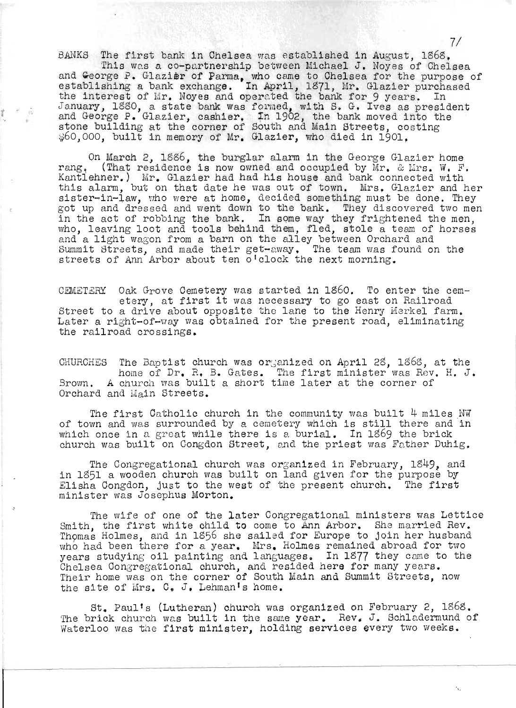BANKS The first bank in Chelsea was established in August, 1868.

This was a co-partnership between Michael J. Noyes of Chelsea and George P. Glazier of Parma, who came to Chelsea for the purpose of establishing a bank exchange. In April, 1371, Mr. Glazier purchased the interest of Mr. Noyes and operated the bank for 9 years. In Instituted of the Noyes and operated the bank for 9 years. In January, 1880, a state bank was formed, with S. G. Ives as president and George P. Glazier, cashier. In 1902, the bank moved into the stone building at the corner of South and Main Streets, costing 60,000, built in memory of Mr. Glazier, who died in 1901,

On March 2, 1886, the burglar alarm in the George Glazier home on march *z*, loso, the burglar alarm in the deorge diazier home<br>rang, (That residence is now owned and occupied by Mr. & Mrs. W. F. rang. (That residence is now owned and occupied by Mr. & Mrs. W. F. Kantlehner.) Mr. Glazier had had his house and bank connected with this alarm, but on that date he was out of town. Mrs. Glazier and her sister-in-law, who were at home, decided something must be done. They got up and dressed and went down to the bank. They discovered two men in the act of robbing the bank. In some way they frightened the men, who, leaving loot and tools behind them, fled, stole a team of horses and, leaving 1996 and 6991s benind them, lied, stole a team of and a fight wagon from a bain on the arrey between orchard and<br>Summit Streets, and made their get-away, The team was found on the streets of Ann Arbor about ten o'clock the next morning.

CEMETERY Oak Grove Cemetery was started in 1860. To enter the cemetery, at first it was necessary to go east on Railroad Street to a drive about opposite the lane to the Henry Merkel farm. Later a right-of-way was obtained for the present road, eliminating the railroad crossings.

CHURCHES The Baptist church was organized on April 28, 1868, at the .<br>home of Dr. R. B. Gates. The first minister was Rev. H. J. Inome of Dr. R. B. Gates. The Illist minister was nev.<br>Brown. A church was built a short time later at the corner of Orchard and Main Streets.

The first Catholic church in the community was built 4 miles NW of town and was surrounded by a cemetery which is still there and in which once in a great while there is a burial. In 1869 the brick church was built on Congdon Street, and the priest was Father Duhig.

The Congregational church was organized in February, 1849, and in 1851 a wooden church was built on land given for the purpose by Elisha Congdon, just to the west of the present church. The first minister was Josephus Morton.

The wife of one of the later Congregational ministers was Lettice Ine wire of one of the later congregational ministers was better.<br>Smith, the first white child to come to Ann Arbor. She married Rev. mitted that is a matter of the come to hand mode. She mailed hove who had been there for a year. Mrs. Holmes remained abroad for two years studying oil painting and languages. In 1877 they came to the Chelsea Oongregational church, and resided here for many years. Their home was on the corner of South Main and Summit Streets, now the site of Mrs. C. J. Lehman's home.

St. Paul's (Lutheran) church was organized on February 2, 186S. The brick church was built in the same year. Rev. J. Schladermund of Waterloo was the first minister, holding services every two weeks.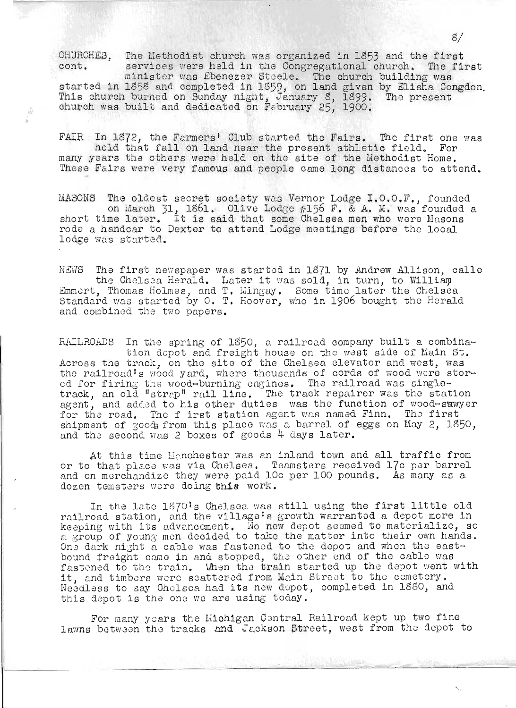CHUHCHES, The Methodist church was organized in 1853 and the first cont. services were held in the Congregational church. The first

services were nera in the congregational charen; the . started in 1858 and completed in 1859, on land given by Elisha Congdon.<br>This church burned on Sunday night, January 8, 1899. The present This church burned on Sunday night, January 8, 1899. The present church was built and dedicated on February 25, 1900.

FAIR In 1872, the Farmers' Club started the Fairs. The first one was held that fall on land near the present athletic field. For many years the others were held on the site of the Methodist Home. These Fairs were very famous and people came long distances to attend.

MASONS The oldest secret society was Vernor Lodge I.O.O.F., founded on March 31, 1861. Olive Lodge #156 F. & A. M. was founded a on march <sub>21</sub>, 1801. Ulive Bodge #190 F. & A. M. was founded<br>short time later. It is said that some Chelsea men who were Masons rode a handcar to Dexter to attend Lodge meetings before the local lodge was started.

NEWS The first newspaper was started in 1871 by Andrew Allison, calle the Chelsea Herald. Later it was sold, in turn, to William Emmert, Thomas Holmes, and T. Mingay. Some time later the Chelsea Standard was started by O. T. Hoover, who in 1906 bought the Herald standard was beareed by or read

RAILROADS In the spring of 1850, a railroad company built a combination dopot and freight house on the west side of Main St. ulon acpot and freight house on the west side of main St.<br>Across the track, on the site of the Chelsea elevator and west, was across the track, on the site of the oneised elevator and west, was<br>the railroad's wood yard, where thousands of cords of wood were stored framinates when yard, where thousands of cords of wood were seed for firing the wood-burning engines. The railroad was singleed for firing the wood-burning engines. The railroad was single-<br>track, an old "strap" rail line. The track repairer was the station agent, and added to his other duties was the function of wood-sawyer for the road. The first station agent was named Finn. The first shipment of goods from this place was a barrel of eggs on May 2, 1850. and the second was 2 boxes of goods  $4$  days later.

At this time Henchester was an inland town and all traffic from or to that place was via Chelsea. Teamsters received 17c per barrel and on merchandize they were paid 10c per 100 pounds. As many as a dozen temsters were doing this work.

In the late 1870's Chelsea was still using the first little old railroad station, and the village's growth warranted a depot more in keeping with its advancement. No new depot seemed to materialize, so a group of young men decided to take the matter into their own hands. One dark night a cable was fastened to the depot and when the eastbound freight came in and stopped, the other end of the cable was fastened to the train. When the train started up the depot went with it, and timbers were scattered from Mein Street to the cemetery. Needless to say Ohelsea had its new depot, completed in 1880, and this depot is the one we are using today.

For many years the Michigan Central Railroad kept up two fine lawns between the tracks and Jackson Street, west from the depot to

 $\cdot$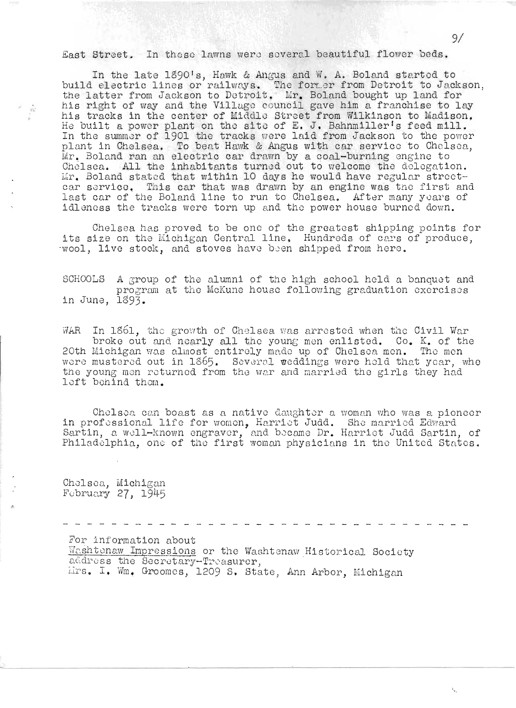East Street. In these lawns were several beautiful flower beds.

In the late  $1890$ 's, Howk & Angus and W. A. Boland started to build electric lines or railways. The former from Detroit to Jackson, ourid erective fines or rafivays. The former from betroit to Jacks<br>the latter from Jackson to Detroit. Mr. Boland bought up land for his right of way and the Village council gave him a franchise to lay his tracks in the center of Middle Street from Wilkinson to Madison. He built a power plant on the site of E. J. Bahnmiller's feed mill. In the summer of 1901 the tracks were laid from Jackson to the power plant in Chelsea. To beat Hawk & Angus with car service to Chelsea, Mr . Boland ran an electric car drawn by a coal-burning engine to Ohe1soa. All the inhabitants turnod out to 'welcome tho dologation. Mr. Boland stated that within 10 days he would have regular streetcar service. This car that was drawn by an engine was the first and last car of the Boland line to run to Chelsea. After many years of idleness the tracks were torn up and the power house burned down.

Chelsea has proved to be one of the greatest shipping points for its size on the Michigan Central line. Hundreds of cars of produce. wool, live stock, and stoves have been shipped from here.

SCHOOLS A group of the alumni of the high school held a banquet and program at the McKune house following graduation exercises in June, 1893.

WAR In 1861, the growth of Chelsea was arrested when the Civil War broke out and nearly all the young men enlisted. Co. K. of the 20th Michigan was almost entirely made up of Chelsea men. The men were mustered out in 1865. Several weddings were held that year, whe vere mustered out in 1809. Beveral weddings were neid that year, w<br>the young men returned from the war and married the girls they had left behind them.

Chelsoa can boast as a native daughter a woman who was a pioneer in professional life for women, Harriet Judd. She married Edward Sho professional life for women, Harriet Judd. She married Edward In professional life for women, hattle: badd. She mattled Baward<br>Sartin, a well-known engraver, and became Dr. Harriet Judd Sartin, of bartin, a weil-known engraver, and became br. narrict Judd Bartin, of<br>Philadelphia, one of the first woman physicians in the United States.

Cho1son, Miohigan  $Fcbruary$  27,  $1945$ 

 $\widehat{\gamma_{\Delta}}$ 

For information about

Washtenaw Impressions or the Washtenaw Historical Society address the Secretary-Treasurer, IITS. I. Wm. Groomes, 1209 S. State, Ann Arbor, Michigan

 $\mathbf{v}_i$